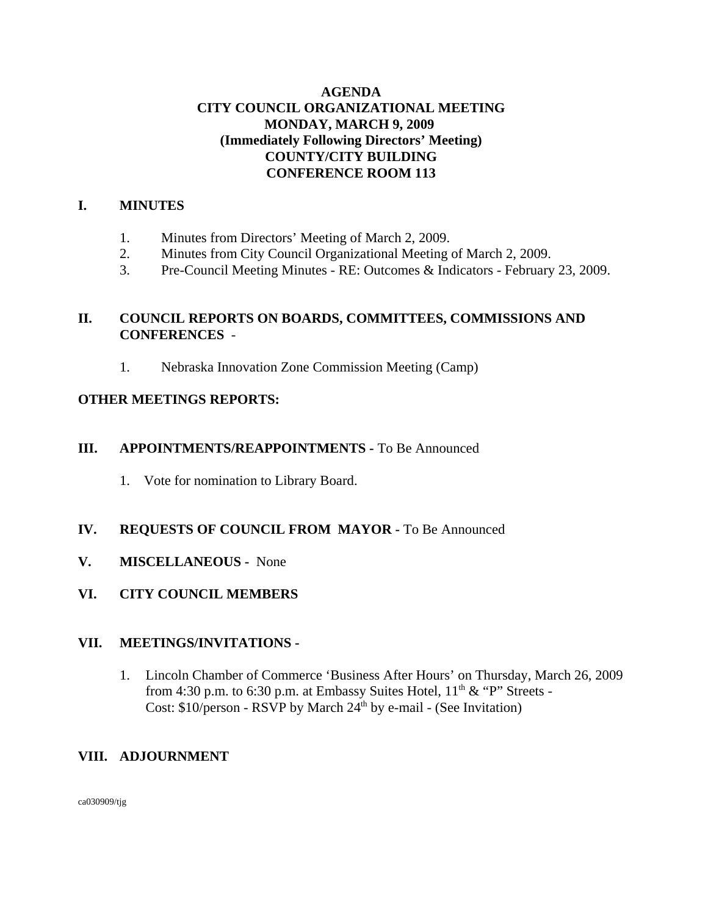## **AGENDA CITY COUNCIL ORGANIZATIONAL MEETING MONDAY, MARCH 9, 2009 (Immediately Following Directors' Meeting) COUNTY/CITY BUILDING CONFERENCE ROOM 113**

## **I. MINUTES**

- 1. Minutes from Directors' Meeting of March 2, 2009.
- 2. Minutes from City Council Organizational Meeting of March 2, 2009.
- 3. Pre-Council Meeting Minutes RE: Outcomes & Indicators February 23, 2009.

# **II. COUNCIL REPORTS ON BOARDS, COMMITTEES, COMMISSIONS AND CONFERENCES** -

1. Nebraska Innovation Zone Commission Meeting (Camp)

### **OTHER MEETINGS REPORTS:**

### **III. APPOINTMENTS/REAPPOINTMENTS -** To Be Announced

1. Vote for nomination to Library Board.

## **IV. REQUESTS OF COUNCIL FROM MAYOR -** To Be Announced

- **V. MISCELLANEOUS -** None
- **VI. CITY COUNCIL MEMBERS**

### **VII. MEETINGS/INVITATIONS -**

1. Lincoln Chamber of Commerce 'Business After Hours' on Thursday, March 26, 2009 from 4:30 p.m. to 6:30 p.m. at Embassy Suites Hotel,  $11<sup>th</sup> \& ^{\circ}P''$  Streets -Cost:  $$10$ /person - RSVP by March  $24<sup>th</sup>$  by e-mail - (See Invitation)

## **VIII. ADJOURNMENT**

ca030909/tjg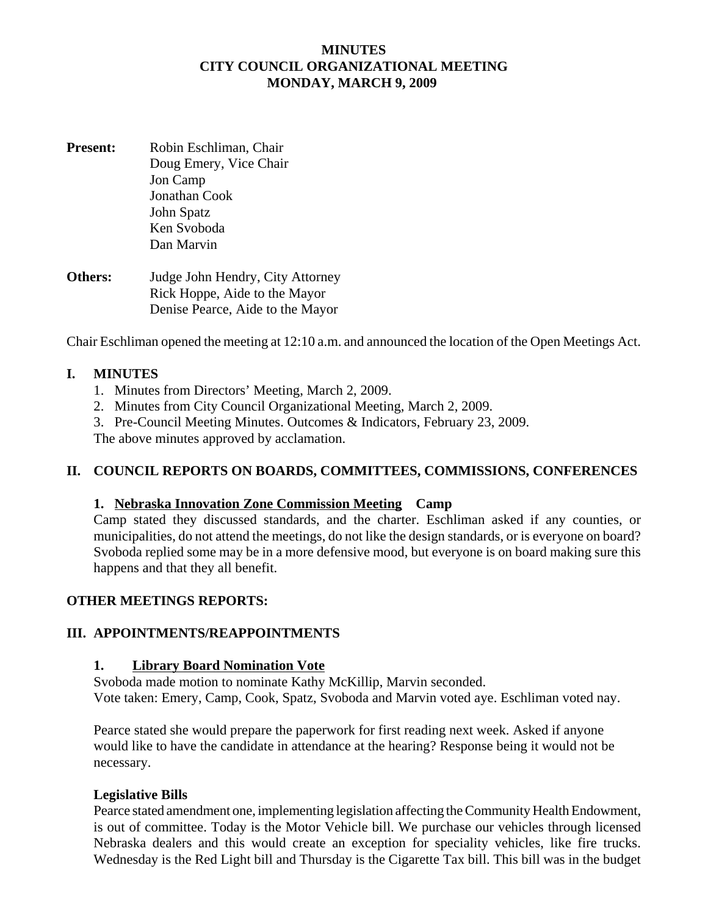## **MINUTES CITY COUNCIL ORGANIZATIONAL MEETING MONDAY, MARCH 9, 2009**

- **Present:** Robin Eschliman, Chair Doug Emery, Vice Chair Jon Camp Jonathan Cook John Spatz Ken Svoboda Dan Marvin
- **Others:** Judge John Hendry, City Attorney Rick Hoppe, Aide to the Mayor Denise Pearce, Aide to the Mayor

Chair Eschliman opened the meeting at 12:10 a.m. and announced the location of the Open Meetings Act.

### **I. MINUTES**

- 1. Minutes from Directors' Meeting, March 2, 2009.
- 2. Minutes from City Council Organizational Meeting, March 2, 2009.
- 3. Pre-Council Meeting Minutes. Outcomes & Indicators, February 23, 2009.

The above minutes approved by acclamation.

## **II. COUNCIL REPORTS ON BOARDS, COMMITTEES, COMMISSIONS, CONFERENCES**

### **1. Nebraska Innovation Zone Commission Meeting Camp**

Camp stated they discussed standards, and the charter. Eschliman asked if any counties, or municipalities, do not attend the meetings, do not like the design standards, or is everyone on board? Svoboda replied some may be in a more defensive mood, but everyone is on board making sure this happens and that they all benefit.

### **OTHER MEETINGS REPORTS:**

### **III. APPOINTMENTS/REAPPOINTMENTS**

### **1. Library Board Nomination Vote**

Svoboda made motion to nominate Kathy McKillip, Marvin seconded. Vote taken: Emery, Camp, Cook, Spatz, Svoboda and Marvin voted aye. Eschliman voted nay.

Pearce stated she would prepare the paperwork for first reading next week. Asked if anyone would like to have the candidate in attendance at the hearing? Response being it would not be necessary.

### **Legislative Bills**

Pearce stated amendment one, implementing legislation affecting the Community Health Endowment, is out of committee. Today is the Motor Vehicle bill. We purchase our vehicles through licensed Nebraska dealers and this would create an exception for speciality vehicles, like fire trucks. Wednesday is the Red Light bill and Thursday is the Cigarette Tax bill. This bill was in the budget